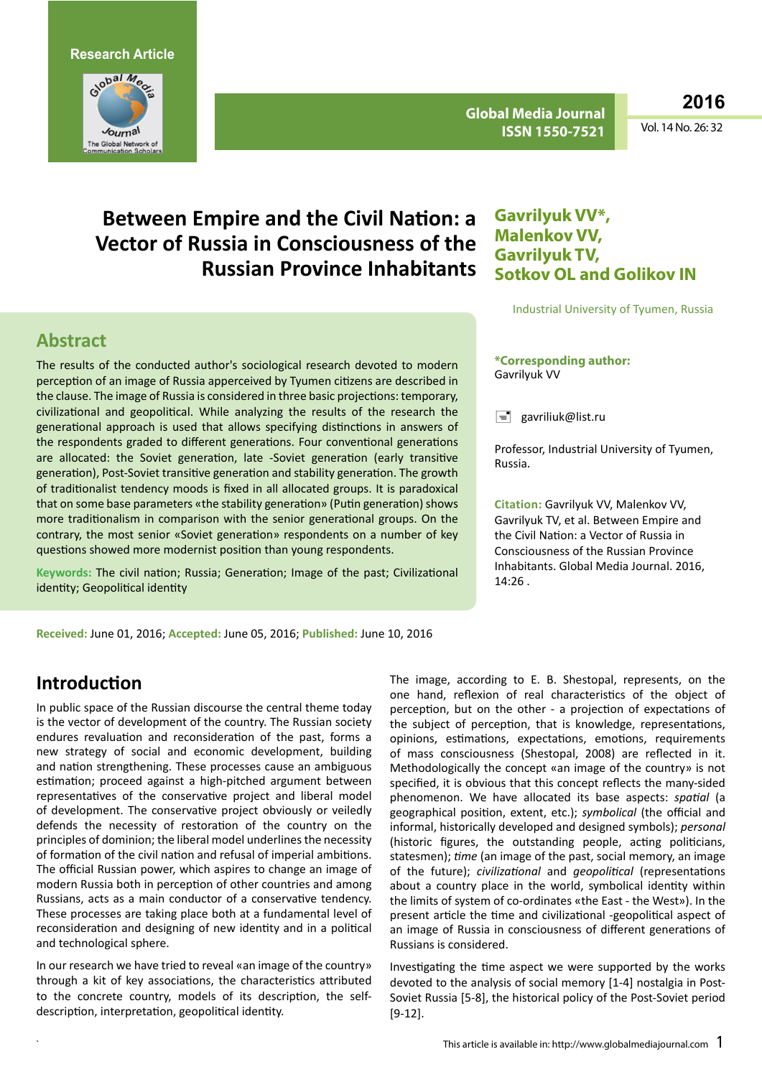

**Global Media Journal ISSN 1550-7521**

**2016**

Vol. 14 No. 26: 32

# **Between Empire and the Civil Nation: a Vector of Russia in Consciousness of the Russian Province Inhabitants**

### **Abstract**

The results of the conducted author's sociological research devoted to modern perception of an image of Russia apperceived by Tyumen citizens are described in the clause. The image of Russia is considered in three basic projections: temporary, civilizational and geopolitical. While analyzing the results of the research the generational approach is used that allows specifying distinctions in answers of the respondents graded to different generations. Four conventional generations are allocated: the Soviet generation, late -Soviet generation (early transitive generation), Post-Soviet transitive generation and stability generation. The growth of traditionalist tendency moods is fixed in all allocated groups. It is paradoxical that on some base parameters «the stability generation» (Putin generation) shows more traditionalism in comparison with the senior generational groups. On the contrary, the most senior «Soviet generation» respondents on a number of key questions showed more modernist position than young respondents.

**Keywords:** The civil nation; Russia; Generation; Image of the past; Civilizational identity; Geopolitical identity

### **Gavrilyuk VV\*, Malenkov VV, Gavrilyuk TV, Sotkov OL and Golikov IN**

Industrial University of Tyumen, Russia

**\*Corresponding author:**  Gavrilyuk VV

 $\equiv$  gavriliuk@list.ru

Professor, Industrial University of Tyumen, Russia.

**Citation:** Gavrilyuk VV, Malenkov VV, Gavrilyuk TV, et al. Between Empire and the Civil Nation: a Vector of Russia in Consciousness of the Russian Province Inhabitants. Global Media Journal. 2016, 14:26 .

**Received:** June 01, 2016; **Accepted:** June 05, 2016; **Published:** June 10, 2016

## **Introduction**

In public space of the Russian discourse the central theme today is the vector of development of the country. The Russian society endures revaluation and reconsideration of the past, forms a new strategy of social and economic development, building and nation strengthening. These processes cause an ambiguous estimation; proceed against a high-pitched argument between representatives of the conservative project and liberal model of development. The conservative project obviously or veiledly defends the necessity of restoration of the country on the principles of dominion; the liberal model underlines the necessity of formation of the civil nation and refusal of imperial ambitions. The official Russian power, which aspires to change an image of modern Russia both in perception of other countries and among Russians, acts as a main conductor of a conservative tendency. These processes are taking place both at a fundamental level of reconsideration and designing of new identity and in a political and technological sphere.

In our research we have tried to reveal «an image of the country» through a kit of key associations, the characteristics attributed to the concrete country, models of its description, the selfdescription, interpretation, geopolitical identity.

The image, according to E. B. Shestopal, represents, on the one hand, reflexion of real characteristics of the object of perception, but on the other - a projection of expectations of the subject of perception, that is knowledge, representations, opinions, estimations, expectations, emotions, requirements of mass consciousness (Shestopal, 2008) are reflected in it. Methodologically the concept «an image of the country» is not specified, it is obvious that this concept reflects the many-sided phenomenon. We have allocated its base aspects: *spatial* (a geographical position, extent, etc.); *symbolical* (the official and informal, historically developed and designed symbols); *personal* (historic figures, the outstanding people, acting politicians, statesmen); *time* (an image of the past, social memory, an image of the future); *civilizational* and *geopolitical* (representations about a country place in the world, symbolical identity within the limits of system of co-ordinates «the East - the West»). In the present article the time and civilizational -geopolitical aspect of an image of Russia in consciousness of different generations of Russians is considered.

Investigating the time aspect we were supported by the works devoted to the analysis of social memory [1-4] nostalgia in Post-Soviet Russia [5-8], the historical policy of the Post-Soviet period [9-12].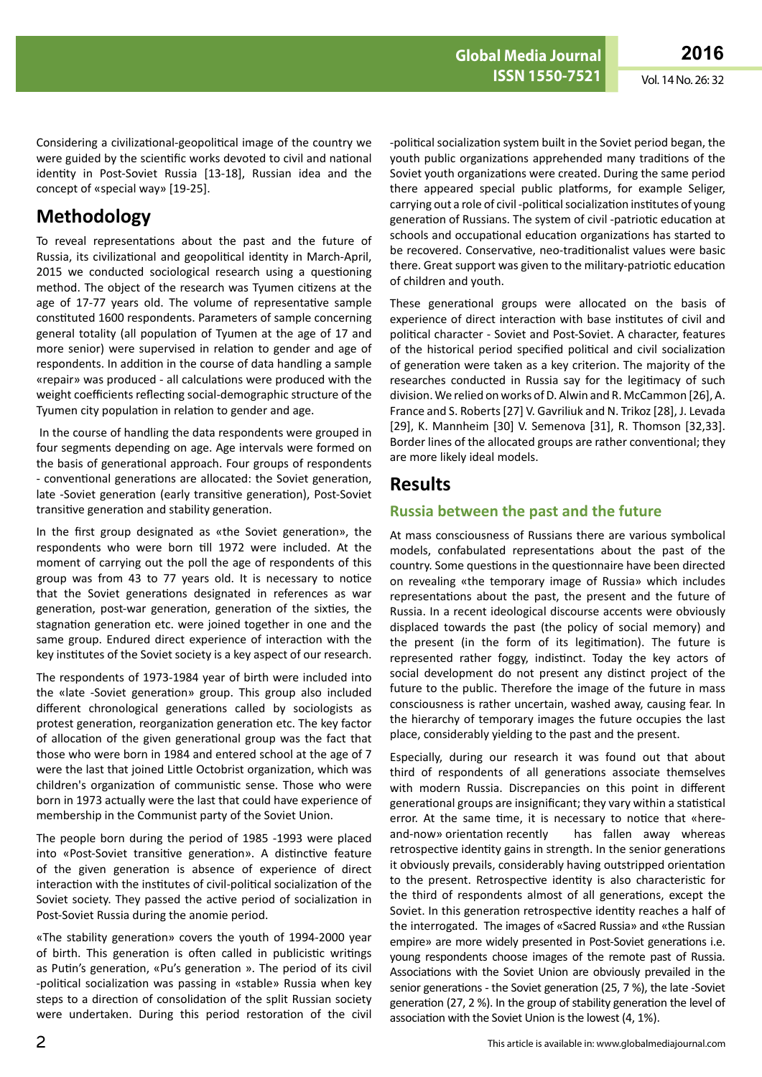Considering a civilizational-geopolitical image of the country we were guided by the scientific works devoted to civil and national identity in Post-Soviet Russia [13-18], Russian idea and the concept of «special way» [19-25].

### **Methodology**

To reveal representations about the past and the future of Russia, its civilizational and geopolitical identity in March-April, 2015 we conducted sociological research using a questioning method. The object of the research was Tyumen citizens at the age of 17-77 years old. The volume of representative sample constituted 1600 respondents. Parameters of sample concerning general totality (all population of Tyumen at the age of 17 and more senior) were supervised in relation to gender and age of respondents. In addition in the course of data handling a sample «repair» was produced - all calculations were produced with the weight coefficients reflecting social-demographic structure of the Tyumen city population in relation to gender and age.

 In the course of handling the data respondents were grouped in four segments depending on age. Age intervals were formed on the basis of generational approach. Four groups of respondents - conventional generations are allocated: the Soviet generation, late -Soviet generation (early transitive generation), Post-Soviet transitive generation and stability generation.

In the first group designated as «the Soviet generation», the respondents who were born till 1972 were included. At the moment of carrying out the poll the age of respondents of this group was from 43 to 77 years old. It is necessary to notice that the Soviet generations designated in references as war generation, post-war generation, generation of the sixties, the stagnation generation etc. were joined together in one and the same group. Endured direct experience of interaction with the key institutes of the Soviet society is a key aspect of our research.

The respondents of 1973-1984 year of birth were included into the «late -Soviet generation» group. This group also included different chronological generations called by sociologists as protest generation, reorganization generation etc. The key factor of allocation of the given generational group was the fact that those who were born in 1984 and entered school at the age of 7 were the last that joined Little Octobrist organization, which was children's organization of communistic sense. Those who were born in 1973 actually were the last that could have experience of membership in the Communist party of the Soviet Union.

The people born during the period of 1985 -1993 were placed into «Post-Soviet transitive generation». A distinctive feature of the given generation is absence of experience of direct interaction with the institutes of civil-political socialization of the Soviet society. They passed the active period of socialization in Post-Soviet Russia during the anomie period.

«The stability generation» covers the youth of 1994-2000 year of birth. This generation is often called in publicistic writings as Putin's generation, «Pu's generation ». The period of its civil -political socialization was passing in «stable» Russia when key steps to a direction of consolidation of the split Russian society were undertaken. During this period restoration of the civil

-political socialization system built in the Soviet period began, the youth public organizations apprehended many traditions of the Soviet youth organizations were created. During the same period there appeared special public platforms, for example Seliger, carrying out a role of civil -political socialization institutes of young generation of Russians. The system of civil -patriotic education at schools and occupational education organizations has started to be recovered. Conservative, neo-traditionalist values were basic there. Great support was given to the military-patriotic education of children and youth.

These generational groups were allocated on the basis of experience of direct interaction with base institutes of civil and political character - Soviet and Post-Soviet. A character, features of the historical period specified political and civil socialization of generation were taken as a key criterion. The majority of the researches conducted in Russia say for the legitimacy of such division. We relied on works of D. Alwin and R. McCammon [26], A. France and S. Roberts [27] V. Gavriliuk and N. Trikoz [28], J. Levada [29], K. Mannheim [30] V. Semenova [31], R. Thomson [32,33]. Border lines of the allocated groups are rather conventional; they are more likely ideal models.

### **Results**

#### **Russia between the past and the future**

At mass consciousness of Russians there are various symbolical models, confabulated representations about the past of the country. Some questions in the questionnaire have been directed on revealing «the temporary image of Russia» which includes representations about the past, the present and the future of Russia. In a recent ideological discourse accents were obviously displaced towards the past (the policy of social memory) and the present (in the form of its legitimation). The future is represented rather foggy, indistinct. Today the key actors of social development do not present any distinct project of the future to the public. Therefore the image of the future in mass consciousness is rather uncertain, washed away, causing fear. In the hierarchy of temporary images the future occupies the last place, considerably yielding to the past and the present.

Especially, during our research it was found out that about third of respondents of all generations associate themselves with modern Russia. Discrepancies on this point in different generational groups are insignificant; they vary within a statistical error. At the same time, it is necessary to notice that «hereand-now» orientation recently has fallen away whereas retrospective identity gains in strength. In the senior generations it obviously prevails, considerably having outstripped orientation to the present. Retrospective identity is also characteristic for the third of respondents almost of all generations, except the Soviet. In this generation retrospective identity reaches a half of the interrogated. The images of «Sacred Russia» and «the Russian empire» are more widely presented in Post-Soviet generations i.e. young respondents choose images of the remote past of Russia. Associations with the Soviet Union are obviously prevailed in the senior generations - the Soviet generation (25, 7 %), the late -Soviet generation (27, 2 %). In the group of stability generation the level of association with the Soviet Union is the lowest (4, 1%).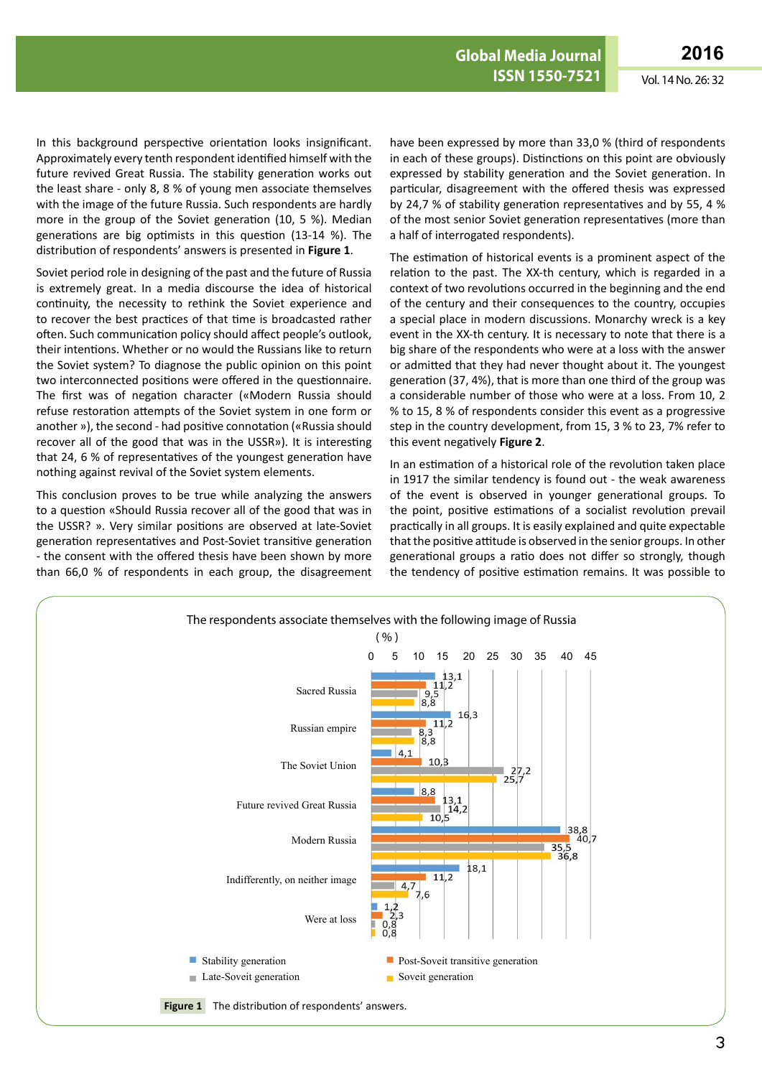In this background perspective orientation looks insignificant. Approximately every tenth respondent identified himself with the future revived Great Russia. The stability generation works out the least share - only 8, 8 % of young men associate themselves with the image of the future Russia. Such respondents are hardly more in the group of the Soviet generation (10, 5 %). Median generations are big optimists in this question (13-14 %). The distribution of respondents' answers is presented in **Figure 1**.

Soviet period role in designing of the past and the future of Russia is extremely great. In a media discourse the idea of historical continuity, the necessity to rethink the Soviet experience and to recover the best practices of that time is broadcasted rather often. Such communication policy should affect people's outlook, their intentions. Whether or no would the Russians like to return the Soviet system? To diagnose the public opinion on this point two interconnected positions were offered in the questionnaire. The first was of negation character («Modern Russia should refuse restoration attempts of the Soviet system in one form or another »), the second - had positive connotation («Russia should recover all of the good that was in the USSR»). It is interesting that 24, 6 % of representatives of the youngest generation have nothing against revival of the Soviet system elements.

This conclusion proves to be true while analyzing the answers to a question «Should Russia recover all of the good that was in the USSR? ». Very similar positions are observed at late-Soviet generation representatives and Post-Soviet transitive generation - the consent with the offered thesis have been shown by more than 66,0 % of respondents in each group, the disagreement

have been expressed by more than 33,0 % (third of respondents in each of these groups). Distinctions on this point are obviously expressed by stability generation and the Soviet generation. In particular, disagreement with the offered thesis was expressed by 24,7 % of stability generation representatives and by 55, 4 % of the most senior Soviet generation representatives (more than a half of interrogated respondents).

The estimation of historical events is a prominent aspect of the relation to the past. The XX-th century, which is regarded in a context of two revolutions occurred in the beginning and the end of the century and their consequences to the country, occupies a special place in modern discussions. Monarchy wreck is a key event in the XX-th century. It is necessary to note that there is a big share of the respondents who were at a loss with the answer or admitted that they had never thought about it. The youngest generation (37, 4%), that is more than one third of the group was a considerable number of those who were at a loss. From 10, 2 % to 15, 8 % of respondents consider this event as a progressive step in the country development, from 15, 3 % to 23, 7% refer to this event negatively **Figure 2**.

In an estimation of a historical role of the revolution taken place in 1917 the similar tendency is found out - the weak awareness of the event is observed in younger generational groups. To the point, positive estimations of a socialist revolution prevail practically in all groups. It is easily explained and quite expectable that the positive attitude is observed in the senior groups. In other generational groups a ratio does not differ so strongly, though the tendency of positive estimation remains. It was possible to

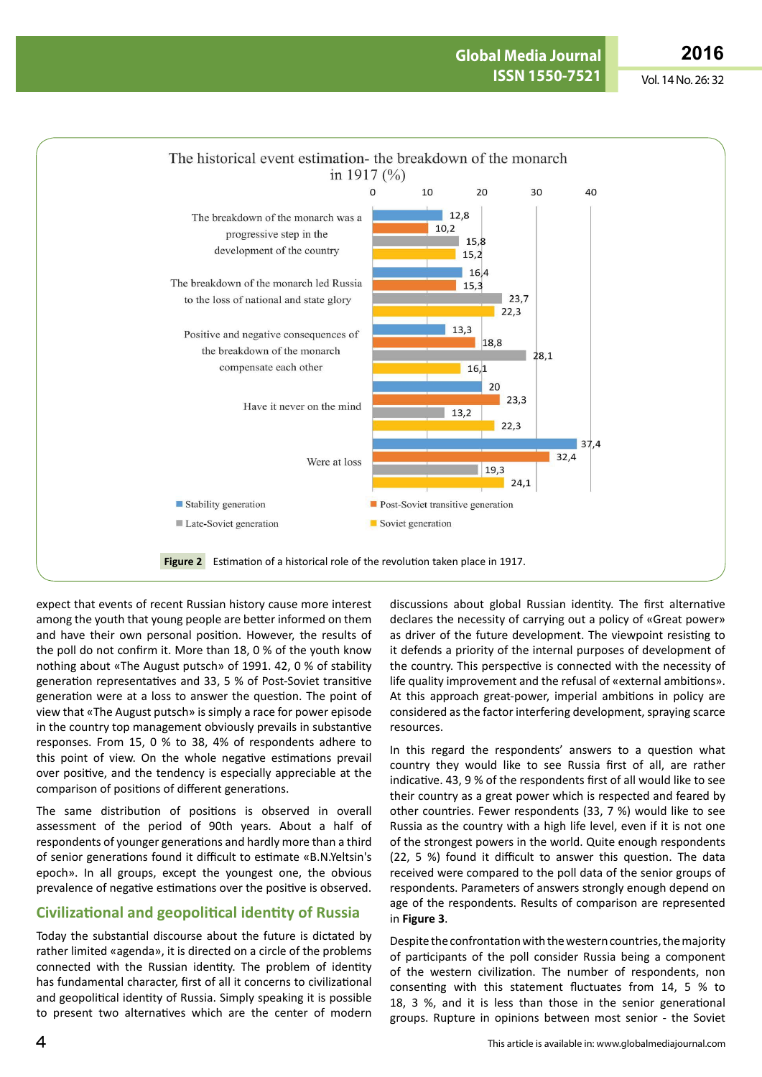

expect that events of recent Russian history cause more interest among the youth that young people are better informed on them and have their own personal position. However, the results of the poll do not confirm it. More than 18, 0 % of the youth know nothing about «The August putsch» of 1991. 42, 0 % of stability generation representatives and 33, 5 % of Post-Soviet transitive generation were at a loss to answer the question. The point of view that «The August putsch» is simply a race for power episode in the country top management obviously prevails in substantive responses. From 15, 0 % to 38, 4% of respondents adhere to this point of view. On the whole negative estimations prevail over positive, and the tendency is especially appreciable at the comparison of positions of different generations.

The same distribution of positions is observed in overall assessment of the period of 90th years. About a half of respondents of younger generations and hardly more than a third of senior generations found it difficult to estimate «B.N.Yeltsin's epoch». In all groups, except the youngest one, the obvious prevalence of negative estimations over the positive is observed.

#### **Civilizational and geopolitical identity of Russia**

Today the substantial discourse about the future is dictated by rather limited «agenda», it is directed on a circle of the problems connected with the Russian identity. The problem of identity has fundamental character, first of all it concerns to civilizational and geopolitical identity of Russia. Simply speaking it is possible to present two alternatives which are the center of modern

discussions about global Russian identity. The first alternative declares the necessity of carrying out a policy of «Great power» as driver of the future development. The viewpoint resisting to it defends a priority of the internal purposes of development of the country. This perspective is connected with the necessity of life quality improvement and the refusal of «external ambitions». At this approach great-power, imperial ambitions in policy are considered as the factor interfering development, spraying scarce resources.

In this regard the respondents' answers to a question what country they would like to see Russia first of all, are rather indicative. 43, 9 % of the respondents first of all would like to see their country as a great power which is respected and feared by other countries. Fewer respondents (33, 7 %) would like to see Russia as the country with a high life level, even if it is not one of the strongest powers in the world. Quite enough respondents (22, 5 %) found it difficult to answer this question. The data received were compared to the poll data of the senior groups of respondents. Parameters of answers strongly enough depend on age of the respondents. Results of comparison are represented in **Figure 3**.

Despite the confrontation with the western countries, the majority of participants of the poll consider Russia being a component of the western civilization. The number of respondents, non consenting with this statement fluctuates from 14, 5 % to 18, 3 %, and it is less than those in the senior generational groups. Rupture in opinions between most senior - the Soviet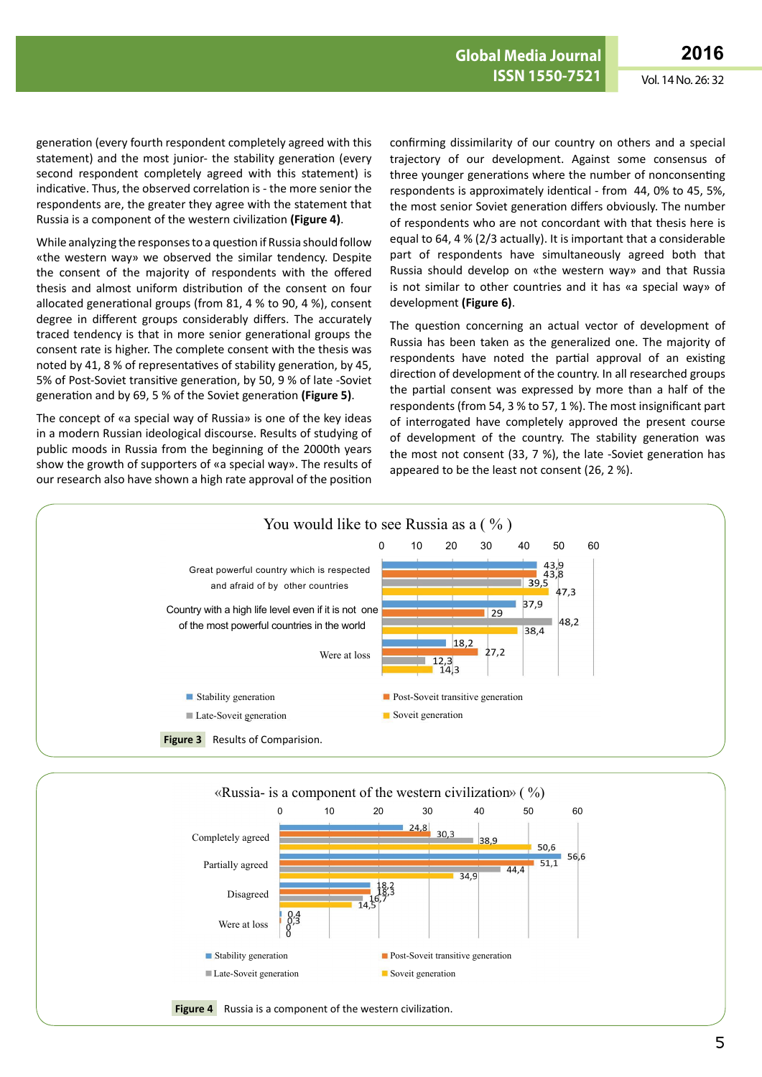generation (every fourth respondent completely agreed with this statement) and the most junior- the stability generation (every second respondent completely agreed with this statement) is indicative. Thus, the observed correlation is - the more senior the respondents are, the greater they agree with the statement that Russia is a component of the western civilization **(Figure 4)**.

While analyzing the responses to a question if Russia should follow «the western way» we observed the similar tendency. Despite the consent of the majority of respondents with the offered thesis and almost uniform distribution of the consent on four allocated generational groups (from 81, 4 % to 90, 4 %), consent degree in different groups considerably differs. The accurately traced tendency is that in more senior generational groups the consent rate is higher. The complete consent with the thesis was noted by 41, 8 % of representatives of stability generation, by 45, 5% of Post-Soviet transitive generation, by 50, 9 % of late -Soviet generation and by 69, 5 % of the Soviet generation **(Figure 5)**.

The concept of «a special way of Russia» is one of the key ideas in a modern Russian ideological discourse. Results of studying of public moods in Russia from the beginning of the 2000th years show the growth of supporters of «a special way». The results of our research also have shown a high rate approval of the position

confirming dissimilarity of our country on others and a special trajectory of our development. Against some consensus of three younger generations where the number of nonconsenting respondents is approximately identical - from 44, 0% to 45, 5%, the most senior Soviet generation differs obviously. The number of respondents who are not concordant with that thesis here is equal to 64, 4 % (2/3 actually). It is important that a considerable part of respondents have simultaneously agreed both that Russia should develop on «the western way» and that Russia is not similar to other countries and it has «a special way» of development **(Figure 6)**.

The question concerning an actual vector of development of Russia has been taken as the generalized one. The majority of respondents have noted the partial approval of an existing direction of development of the country. In all researched groups the partial consent was expressed by more than a half of the respondents (from 54, 3 % to 57, 1 %). The most insignificant part of interrogated have completely approved the present course of development of the country. The stability generation was the most not consent (33, 7 %), the late -Soviet generation has appeared to be the least not consent (26, 2 %).



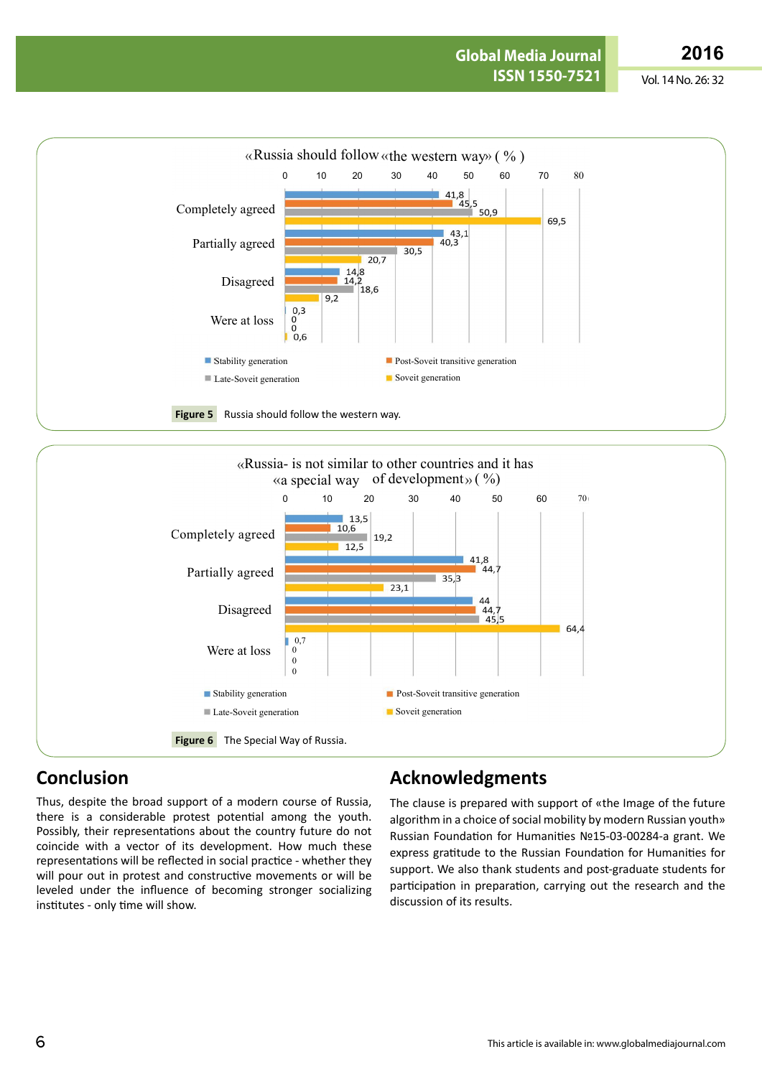

## **Conclusion**

Thus, despite the broad support of a modern course of Russia, there is a considerable protest potential among the youth. Possibly, their representations about the country future do not coincide with a vector of its development. How much these representations will be reflected in social practice - whether they will pour out in protest and constructive movements or will be leveled under the influence of becoming stronger socializing institutes - only time will show.

# **Acknowledgments**

The clause is prepared with support of «the Image of the future algorithm in a choice of social mobility by modern Russian youth» Russian Foundation for Humanities №15-03-00284-a grant. We express gratitude to the Russian Foundation for Humanities for support. We also thank students and post-graduate students for participation in preparation, carrying out the research and the discussion of its results.